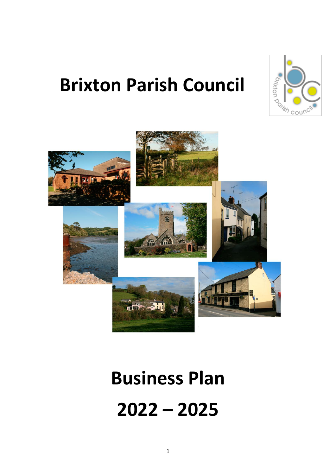

# **Brixton Parish Council**



# **Business Plan 2022 – 2025**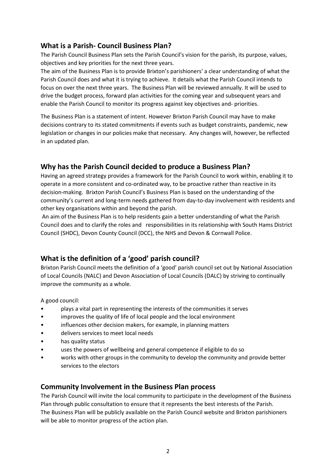#### **What is a Parish- Council Business Plan?**

The Parish Council Business Plan sets the Parish Council's vision for the parish, its purpose, values, objectives and key priorities for the next three years.

The aim of the Business Plan is to provide Brixton's parishioners' a clear understanding of what the Parish Council does and what it is trying to achieve. It details what the Parish Council intends to focus on over the next three years. The Business Plan will be reviewed annually. It will be used to drive the budget process, forward plan activities for the coming year and subsequent years and enable the Parish Council to monitor its progress against key objectives and- priorities.

The Business Plan is a statement of intent. However Brixton Parish Council may have to make decisions contrary to its stated commitments if events such as budget constraints, pandemic, new legislation or changes in our policies make that necessary. Any changes will, however, be reflected in an updated plan.

#### **Why has the Parish Council decided to produce a Business Plan?**

Having an agreed strategy provides a framework for the Parish Council to work within, enabling it to operate in a more consistent and co-ordinated way, to be proactive rather than reactive in its decision-making. Brixton Parish Council's Business Plan is based on the understanding of the community's current and long-term needs gathered from day-to-day involvement with residents and other key organisations within and beyond the parish.

An aim of the Business Plan is to help residents gain a better understanding of what the Parish Council does and to clarify the roles and responsibilities in its relationship with South Hams District Council (SHDC), Devon County Council (DCC), the NHS and Devon & Cornwall Police.

#### **What is the definition of a 'good' parish council?**

Brixton Parish Council meets the definition of a 'good' parish council set out by National Association of Local Councils (NALC) and Devon Association of Local Councils (DALC) by striving to continually improve the community as a whole.

A good council:

- plays a vital part in representing the interests of the communities it serves
- improves the quality of life of local people and the local environment
- influences other decision makers, for example, in planning matters
- delivers services to meet local needs
- has quality status
- uses the powers of wellbeing and general competence if eligible to do so
- works with other groups in the community to develop the community and provide better services to the electors

#### **Community Involvement in the Business Plan process**

The Parish Council will invite the local community to participate in the development of the Business Plan through public consultation to ensure that it represents the best interests of the Parish. The Business Plan will be publicly available on the Parish Council website and Brixton parishioners will be able to monitor progress of the action plan.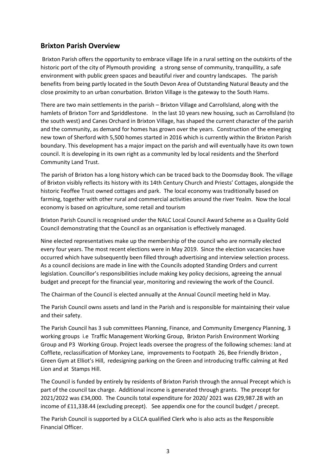#### **Brixton Parish Overview**

Brixton Parish offers the opportunity to embrace village life in a rural setting on the outskirts of the historic port of the city of Plymouth providing a strong sense of community, tranquillity, a safe environment with public green spaces and beautiful river and country landscapes. The parish benefits from being partly located in the South Devon Area of Outstanding Natural Beauty and the close proximity to an urban conurbation. Brixton Village is the gateway to the South Hams.

There are two main settlements in the parish – Brixton Village and Carrollsland, along with the hamlets of Brixton Torr and Spriddlestone. In the last 10 years new housing, such as Carrollsland (to the south west) and Canes Orchard in Brixton Village, has shaped the current character of the parish and the community, as demand for homes has grown over the years. Construction of the emerging new town of Sherford with 5,500 homes started in 2016 which is currently within the Brixton Parish boundary. This development has a major impact on the parish and will eventually have its own town council. It is developing in its own right as a community led by local residents and the Sherford Community Land Trust.

The parish of Brixton has a long history which can be traced back to the Doomsday Book. The village of Brixton visibly reflects its history with its 14th Century Church and Priests' Cottages, alongside the historic Feoffee Trust owned cottages and park. The local economy was traditionally based on farming, together with other rural and commercial activities around the river Yealm. Now the local economy is based on agriculture, some retail and tourism

Brixton Parish Council is recognised under the NALC Local Council Award Scheme as a Quality Gold Council demonstrating that the Council as an organisation is effectively managed.

Nine elected representatives make up the membership of the council who are normally elected every four years. The most recent elections were in May 2019. Since the election vacancies have occurred which have subsequently been filled through advertising and interview selection process. As a council decisions are made in line with the Councils adopted Standing Orders and current legislation. Councillor's responsibilities include making key policy decisions, agreeing the annual budget and precept for the financial year, monitoring and reviewing the work of the Council.

The Chairman of the Council is elected annually at the Annual Council meeting held in May.

The Parish Council owns assets and land in the Parish and is responsible for maintaining their value and their safety.

The Parish Council has 3 sub committees Planning, Finance, and Community Emergency Planning, 3 working groups i.e Traffic Management Working Group, Brixton Parish Environment Working Group and P3 Working Group. Project leads oversee the progress of the following schemes: land at Cofflete, reclassification of Monkey Lane, improvements to Footpath 26, Bee Friendly Brixton , Green Gym at Elliot's Hill, redesigning parking on the Green and introducing traffic calming at Red Lion and at Stamps Hill.

The Council is funded by entirely by residents of Brixton Parish through the annual Precept which is part of the council tax charge. Additional income is generated through grants. The precept for 2021/2022 was £34,000. The Councils total expenditure for 2020/ 2021 was £29,987.28 with an income of £11,338.44 (excluding precept). See appendix one for the council budget / precept.

The Parish Council is supported by a CiLCA qualified Clerk who is also acts as the Responsible Financial Officer.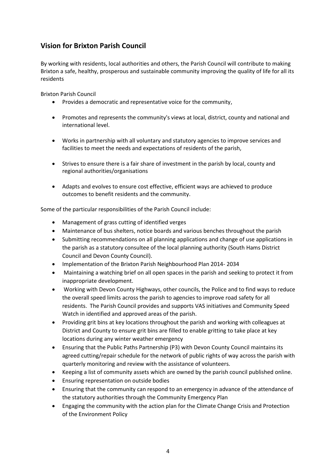#### **Vision for Brixton Parish Council**

By working with residents, local authorities and others, the Parish Council will contribute to making Brixton a safe, healthy, prosperous and sustainable community improving the quality of life for all its residents

Brixton Parish Council

- Provides a democratic and representative voice for the community,
- Promotes and represents the community's views at local, district, county and national and international level.
- Works in partnership with all voluntary and statutory agencies to improve services and facilities to meet the needs and expectations of residents of the parish,
- Strives to ensure there is a fair share of investment in the parish by local, county and regional authorities/organisations
- Adapts and evolves to ensure cost effective, efficient ways are achieved to produce outcomes to benefit residents and the community.

Some of the particular responsibilities of the Parish Council include:

- Management of grass cutting of identified verges
- Maintenance of bus shelters, notice boards and various benches throughout the parish
- Submitting recommendations on all planning applications and change of use applications in the parish as a statutory consultee of the local planning authority (South Hams District Council and Devon County Council).
- Implementation of the Brixton Parish Neighbourhood Plan 2014- 2034
- Maintaining a watching brief on all open spaces in the parish and seeking to protect it from inappropriate development.
- Working with Devon County Highways, other councils, the Police and to find ways to reduce the overall speed limits across the parish to agencies to improve road safety for all residents. The Parish Council provides and supports VAS initiatives and Community Speed Watch in identified and approved areas of the parish.
- Providing grit bins at key locations throughout the parish and working with colleagues at District and County to ensure grit bins are filled to enable gritting to take place at key locations during any winter weather emergency
- Ensuring that the Public Paths Partnership (P3) with Devon County Council maintains its agreed cutting/repair schedule for the network of public rights of way across the parish with quarterly monitoring and review with the assistance of volunteers.
- Keeping a list of community assets which are owned by the parish council published online.
- Ensuring representation on outside bodies
- Ensuring that the community can respond to an emergency in advance of the attendance of the statutory authorities through the Community Emergency Plan
- Engaging the community with the action plan for the Climate Change Crisis and Protection of the Environment Policy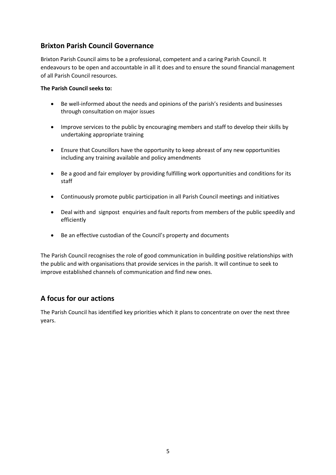#### **Brixton Parish Council Governance**

Brixton Parish Council aims to be a professional, competent and a caring Parish Council. It endeavours to be open and accountable in all it does and to ensure the sound financial management of all Parish Council resources.

#### **The Parish Council seeks to:**

- Be well-informed about the needs and opinions of the parish's residents and businesses through consultation on major issues
- Improve services to the public by encouraging members and staff to develop their skills by undertaking appropriate training
- Ensure that Councillors have the opportunity to keep abreast of any new opportunities including any training available and policy amendments
- Be a good and fair employer by providing fulfilling work opportunities and conditions for its staff
- Continuously promote public participation in all Parish Council meetings and initiatives
- Deal with and signpost enquiries and fault reports from members of the public speedily and efficiently
- Be an effective custodian of the Council's property and documents

The Parish Council recognises the role of good communication in building positive relationships with the public and with organisations that provide services in the parish. It will continue to seek to improve established channels of communication and find new ones.

#### **A focus for our actions**

The Parish Council has identified key priorities which it plans to concentrate on over the next three years.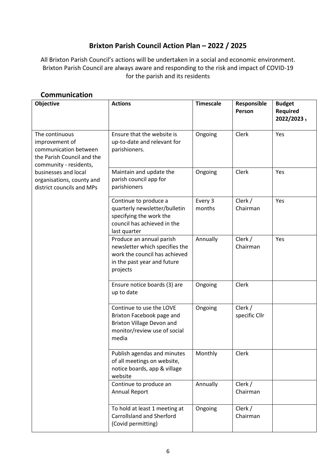#### **Brixton Parish Council Action Plan – 2022 / 2025**

All Brixton Parish Council's actions will be undertaken in a social and economic environment. Brixton Parish Council are always aware and responding to the risk and impact of COVID-19 for the parish and its residents

| Objective                                                                                                         | <b>Actions</b>                                                                                                                         | <b>Timescale</b>  | Responsible<br>Person    | <b>Budget</b><br>Required<br>2022/20231 |
|-------------------------------------------------------------------------------------------------------------------|----------------------------------------------------------------------------------------------------------------------------------------|-------------------|--------------------------|-----------------------------------------|
| The continuous<br>improvement of<br>communication between<br>the Parish Council and the<br>community - residents, | Ensure that the website is<br>up-to-date and relevant for<br>parishioners.                                                             | Ongoing           | Clerk                    | Yes                                     |
| businesses and local<br>organisations, county and<br>district councils and MPs                                    | Maintain and update the<br>parish council app for<br>parishioners                                                                      | Ongoing           | Clerk                    | Yes                                     |
|                                                                                                                   | Continue to produce a<br>quarterly newsletter/bulletin<br>specifying the work the<br>council has achieved in the<br>last quarter       | Every 3<br>months | Clerk /<br>Chairman      | Yes                                     |
|                                                                                                                   | Produce an annual parish<br>newsletter which specifies the<br>work the council has achieved<br>in the past year and future<br>projects | Annually          | Clerk /<br>Chairman      | Yes                                     |
|                                                                                                                   | Ensure notice boards (3) are<br>up to date                                                                                             | Ongoing           | Clerk                    |                                         |
|                                                                                                                   | Continue to use the LOVE<br>Brixton Facebook page and<br>Brixton Village Devon and<br>monitor/review use of social<br>media            | Ongoing           | Clerk /<br>specific Cllr |                                         |
|                                                                                                                   | Publish agendas and minutes<br>of all meetings on website,<br>notice boards, app & village<br>website                                  | Monthly           | Clerk                    |                                         |
|                                                                                                                   | Continue to produce an<br>Annual Report                                                                                                | Annually          | Clerk /<br>Chairman      |                                         |
|                                                                                                                   | To hold at least 1 meeting at<br><b>Carrollsland and Sherford</b><br>(Covid permitting)                                                | Ongoing           | Clerk /<br>Chairman      |                                         |

#### **Communication**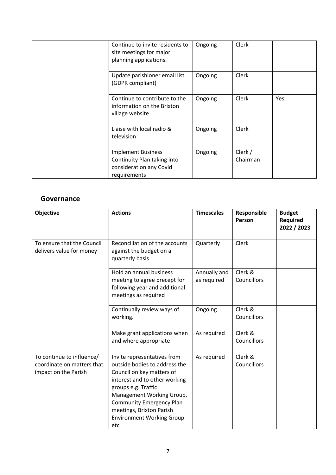| Continue to invite residents to<br>site meetings for major<br>planning applications.                | Ongoing | Clerk               |     |
|-----------------------------------------------------------------------------------------------------|---------|---------------------|-----|
| Update parishioner email list<br>(GDPR compliant)                                                   | Ongoing | Clerk               |     |
| Continue to contribute to the<br>information on the Brixton<br>village website                      | Ongoing | Clerk               | Yes |
| Liaise with local radio &<br>television                                                             | Ongoing | Clerk               |     |
| <b>Implement Business</b><br>Continuity Plan taking into<br>consideration any Covid<br>requirements | Ongoing | Clerk /<br>Chairman |     |

#### **Governance**

| Objective                                                                       | <b>Actions</b>                                                                                                                                                                                                                                                                           | <b>Timescales</b>           | Responsible<br>Person  | <b>Budget</b><br><b>Required</b><br>2022 / 2023 |
|---------------------------------------------------------------------------------|------------------------------------------------------------------------------------------------------------------------------------------------------------------------------------------------------------------------------------------------------------------------------------------|-----------------------------|------------------------|-------------------------------------------------|
| To ensure that the Council<br>delivers value for money                          | Reconciliation of the accounts<br>against the budget on a<br>quarterly basis                                                                                                                                                                                                             | Quarterly                   | <b>Clerk</b>           |                                                 |
|                                                                                 | Hold an annual business<br>meeting to agree precept for<br>following year and additional<br>meetings as required                                                                                                                                                                         | Annually and<br>as required | Clerk &<br>Councillors |                                                 |
|                                                                                 | Continually review ways of<br>working.                                                                                                                                                                                                                                                   | Ongoing                     | Clerk &<br>Councillors |                                                 |
|                                                                                 | Make grant applications when<br>and where appropriate                                                                                                                                                                                                                                    | As required                 | Clerk &<br>Councillors |                                                 |
| To continue to influence/<br>coordinate on matters that<br>impact on the Parish | Invite representatives from<br>outside bodies to address the<br>Council on key matters of<br>interest and to other working<br>groups e.g. Traffic<br>Management Working Group,<br><b>Community Emergency Plan</b><br>meetings, Brixton Parish<br><b>Environment Working Group</b><br>etc | As required                 | Clerk &<br>Councillors |                                                 |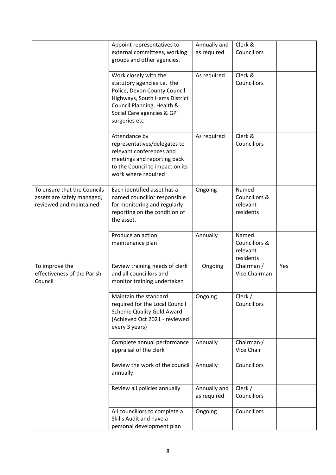|                                                                                      | Appoint representatives to<br>external committees, working<br>groups and other agencies.                                                                                                          | Annually and<br>as required | Clerk &<br>Councillors                          |     |
|--------------------------------------------------------------------------------------|---------------------------------------------------------------------------------------------------------------------------------------------------------------------------------------------------|-----------------------------|-------------------------------------------------|-----|
|                                                                                      | Work closely with the<br>statutory agencies i.e. the<br>Police, Devon County Council<br>Highways, South Hams District<br>Council Planning, Health &<br>Social Care agencies & GP<br>surgeries etc | As required                 | Clerk &<br>Councillors                          |     |
|                                                                                      | Attendance by<br>representatives/delegates to<br>relevant conferences and<br>meetings and reporting back<br>to the Council to impact on its<br>work where required                                | As required                 | Clerk &<br>Councillors                          |     |
| To ensure that the Councils<br>assets are safely managed,<br>reviewed and maintained | Each identified asset has a<br>named councillor responsible<br>for monitoring and regularly<br>reporting on the condition of<br>the asset.                                                        | Ongoing                     | Named<br>Councillors &<br>relevant<br>residents |     |
|                                                                                      | Produce an action<br>maintenance plan                                                                                                                                                             | Annually                    | Named<br>Councillors &<br>relevant<br>residents |     |
| To improve the<br>effectiveness of the Parish<br>Council                             | Review training needs of clerk<br>and all councillors and<br>monitor training undertaken                                                                                                          | Ongoing                     | Chairman /<br>Vice Chairman                     | Yes |
|                                                                                      | Maintain the standard<br>required for the Local Council<br><b>Scheme Quality Gold Award</b><br>(Achieved Oct 2021 - reviewed<br>every 3 years)                                                    | Ongoing                     | Clerk /<br>Councillors                          |     |
|                                                                                      | Complete annual performance<br>appraisal of the clerk                                                                                                                                             | Annually                    | Chairman /<br>Vice Chair                        |     |
|                                                                                      | Review the work of the council<br>annually                                                                                                                                                        | Annually                    | Councillors                                     |     |
|                                                                                      | Review all policies annually                                                                                                                                                                      | Annually and<br>as required | Clerk /<br>Councillors                          |     |
|                                                                                      | All councillors to complete a<br>Skills Audit and have a<br>personal development plan                                                                                                             | Ongoing                     | Councillors                                     |     |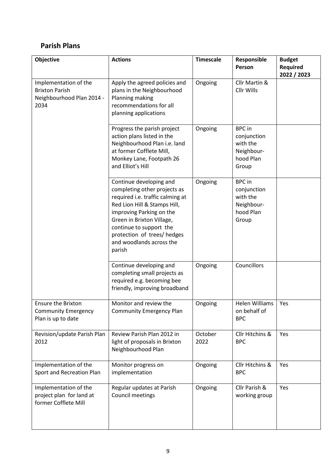### **Parish Plans**

| Objective                                                                           | <b>Actions</b>                                                                                                                                                                                                                                                                      | <b>Timescale</b> | Responsible<br>Person                                                        | <b>Budget</b><br>Required<br>2022 / 2023 |
|-------------------------------------------------------------------------------------|-------------------------------------------------------------------------------------------------------------------------------------------------------------------------------------------------------------------------------------------------------------------------------------|------------------|------------------------------------------------------------------------------|------------------------------------------|
| Implementation of the<br><b>Brixton Parish</b><br>Neighbourhood Plan 2014 -<br>2034 | Apply the agreed policies and<br>plans in the Neighbourhood<br>Planning making<br>recommendations for all<br>planning applications                                                                                                                                                  | Ongoing          | Cllr Martin &<br>Cllr Wills                                                  |                                          |
|                                                                                     | Progress the parish project<br>action plans listed in the<br>Neighbourhood Plan i.e. land<br>at former Cofflete Mill,<br>Monkey Lane, Footpath 26<br>and Elliot's Hill                                                                                                              | Ongoing          | <b>BPC</b> in<br>conjunction<br>with the<br>Neighbour-<br>hood Plan<br>Group |                                          |
|                                                                                     | Continue developing and<br>completing other projects as<br>required i.e. traffic calming at<br>Red Lion Hill & Stamps Hill,<br>improving Parking on the<br>Green in Brixton Village,<br>continue to support the<br>protection of trees/hedges<br>and woodlands across the<br>parish | Ongoing          | <b>BPC</b> in<br>conjunction<br>with the<br>Neighbour-<br>hood Plan<br>Group |                                          |
|                                                                                     | Continue developing and<br>completing small projects as<br>required e.g. becoming bee<br>friendly, improving broadband                                                                                                                                                              | Ongoing          | Councillors                                                                  |                                          |
| <b>Ensure the Brixton</b><br><b>Community Emergency</b><br>Plan is up to date       | Monitor and review the<br><b>Community Emergency Plan</b>                                                                                                                                                                                                                           | Ongoing          | <b>Helen Williams</b><br>on behalf of<br><b>BPC</b>                          | Yes                                      |
| Revision/update Parish Plan<br>2012                                                 | Review Parish Plan 2012 in<br>light of proposals in Brixton<br>Neighbourhood Plan                                                                                                                                                                                                   | October<br>2022  | Cllr Hitchins &<br><b>BPC</b>                                                | Yes                                      |
| Implementation of the<br>Sport and Recreation Plan                                  | Monitor progress on<br>implementation                                                                                                                                                                                                                                               | Ongoing          | Cllr Hitchins &<br><b>BPC</b>                                                | Yes                                      |
| Implementation of the<br>project plan for land at<br>former Cofflete Mill           | Regular updates at Parish<br>Council meetings                                                                                                                                                                                                                                       | Ongoing          | Cllr Parish &<br>working group                                               | Yes                                      |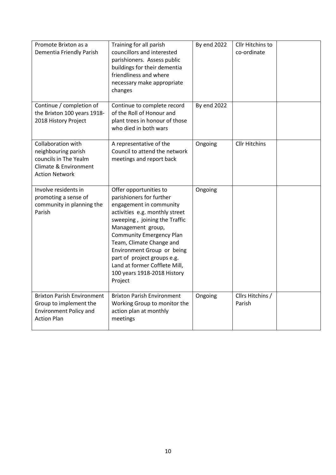| Promote Brixton as a<br>Dementia Friendly Parish                                                                            | Training for all parish<br>councillors and interested<br>parishioners. Assess public<br>buildings for their dementia<br>friendliness and where<br>necessary make appropriate<br>changes                                                                                                                                                                                      | <b>By end 2022</b> | Cllr Hitchins to<br>co-ordinate |  |
|-----------------------------------------------------------------------------------------------------------------------------|------------------------------------------------------------------------------------------------------------------------------------------------------------------------------------------------------------------------------------------------------------------------------------------------------------------------------------------------------------------------------|--------------------|---------------------------------|--|
| Continue / completion of<br>the Brixton 100 years 1918-<br>2018 History Project                                             | Continue to complete record<br>of the Roll of Honour and<br>plant trees in honour of those<br>who died in both wars                                                                                                                                                                                                                                                          | <b>By end 2022</b> |                                 |  |
| <b>Collaboration with</b><br>neighbouring parish<br>councils in The Yealm<br>Climate & Environment<br><b>Action Network</b> | A representative of the<br>Council to attend the network<br>meetings and report back                                                                                                                                                                                                                                                                                         | Ongoing            | <b>Cllr Hitchins</b>            |  |
| Involve residents in<br>promoting a sense of<br>community in planning the<br>Parish                                         | Offer opportunities to<br>parishioners for further<br>engagement in community<br>activities e.g. monthly street<br>sweeping, joining the Traffic<br>Management group,<br><b>Community Emergency Plan</b><br>Team, Climate Change and<br>Environment Group or being<br>part of project groups e.g.<br>Land at former Cofflete Mill,<br>100 years 1918-2018 History<br>Project | Ongoing            |                                 |  |
| <b>Brixton Parish Environment</b><br>Group to implement the<br><b>Environment Policy and</b><br><b>Action Plan</b>          | <b>Brixton Parish Environment</b><br>Working Group to monitor the<br>action plan at monthly<br>meetings                                                                                                                                                                                                                                                                      | Ongoing            | Cllrs Hitchins /<br>Parish      |  |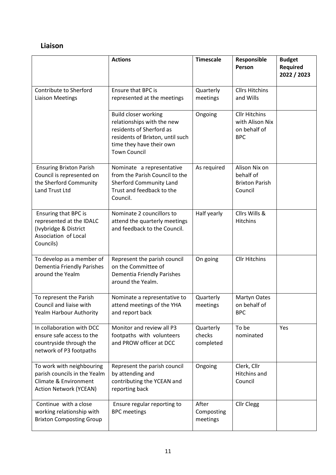## **Liaison**

|                                                                                                                     | <b>Actions</b>                                                                                                                                                               | <b>Timescale</b>                 | Responsible<br>Person                                                 | <b>Budget</b><br>Required<br>2022 / 2023 |
|---------------------------------------------------------------------------------------------------------------------|------------------------------------------------------------------------------------------------------------------------------------------------------------------------------|----------------------------------|-----------------------------------------------------------------------|------------------------------------------|
| Contribute to Sherford<br><b>Liaison Meetings</b>                                                                   | <b>Ensure that BPC is</b><br>represented at the meetings                                                                                                                     | Quarterly<br>meetings            | <b>Cllrs Hitchins</b><br>and Wills                                    |                                          |
|                                                                                                                     | <b>Build closer working</b><br>relationships with the new<br>residents of Sherford as<br>residents of Brixton, until such<br>time they have their own<br><b>Town Council</b> | Ongoing                          | <b>Cllr Hitchins</b><br>with Alison Nix<br>on behalf of<br><b>BPC</b> |                                          |
| <b>Ensuring Brixton Parish</b><br>Council is represented on<br>the Sherford Community<br><b>Land Trust Ltd</b>      | Nominate a representative<br>from the Parish Council to the<br><b>Sherford Community Land</b><br>Trust and feedback to the<br>Council.                                       | As required                      | Alison Nix on<br>behalf of<br><b>Brixton Parish</b><br>Council        |                                          |
| Ensuring that BPC is<br>represented at the IDALC<br>(Ivybridge & District<br>Association of Local<br>Councils)      | Nominate 2 councillors to<br>attend the quarterly meetings<br>and feedback to the Council.                                                                                   | Half yearly                      | Cllrs Wills &<br><b>Hitchins</b>                                      |                                          |
| To develop as a member of<br>Dementia Friendly Parishes<br>around the Yealm                                         | Represent the parish council<br>on the Committee of<br>Dementia Friendly Parishes<br>around the Yealm.                                                                       | On going                         | <b>Cllr Hitchins</b>                                                  |                                          |
| To represent the Parish<br>Council and liaise with<br>Yealm Harbour Authority                                       | Nominate a representative to<br>attend meetings of the YHA<br>and report back                                                                                                | Quarterly<br>meetings            | Martyn Oates<br>on behalf of<br><b>BPC</b>                            |                                          |
| In collaboration with DCC<br>ensure safe access to the<br>countryside through the<br>network of P3 footpaths        | Monitor and review all P3<br>footpaths with volunteers<br>and PROW officer at DCC                                                                                            | Quarterly<br>checks<br>completed | To be<br>nominated                                                    | Yes                                      |
| To work with neighbouring<br>parish councils in the Yealm<br>Climate & Environment<br><b>Action Network (YCEAN)</b> | Represent the parish council<br>by attending and<br>contributing the YCEAN and<br>reporting back                                                                             | Ongoing                          | Clerk, Cllr<br>Hitchins and<br>Council                                |                                          |
| Continue with a close<br>working relationship with<br><b>Brixton Composting Group</b>                               | Ensure regular reporting to<br><b>BPC</b> meetings                                                                                                                           | After<br>Composting<br>meetings  | Cllr Clegg                                                            |                                          |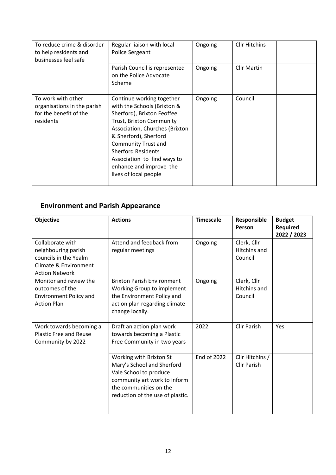| To reduce crime & disorder<br>to help residents and<br>businesses feel safe              | Regular liaison with local<br>Police Sergeant                                                                                                                                                                                                                                                                                      | Ongoing | <b>Cllr Hitchins</b> |
|------------------------------------------------------------------------------------------|------------------------------------------------------------------------------------------------------------------------------------------------------------------------------------------------------------------------------------------------------------------------------------------------------------------------------------|---------|----------------------|
|                                                                                          | Parish Council is represented<br>on the Police Advocate<br>Scheme                                                                                                                                                                                                                                                                  | Ongoing | <b>Cllr Martin</b>   |
| To work with other<br>organisations in the parish<br>for the benefit of the<br>residents | Continue working together<br>with the Schools (Brixton &<br>Sherford), Brixton Feoffee<br><b>Trust, Brixton Community</b><br>Association, Churches (Brixton<br>& Sherford), Sherford<br><b>Community Trust and</b><br><b>Sherford Residents</b><br>Association to find ways to<br>enhance and improve the<br>lives of local people | Ongoing | Council              |

# **Environment and Parish Appearance**

| <b>Objective</b>                                                                                                   | <b>Actions</b>                                                                                                                                                                | <b>Timescale</b>   | Responsible<br>Person                         | <b>Budget</b><br><b>Required</b><br>2022 / 2023 |
|--------------------------------------------------------------------------------------------------------------------|-------------------------------------------------------------------------------------------------------------------------------------------------------------------------------|--------------------|-----------------------------------------------|-------------------------------------------------|
| Collaborate with<br>neighbouring parish<br>councils in the Yealm<br>Climate & Environment<br><b>Action Network</b> | Attend and feedback from<br>regular meetings                                                                                                                                  | Ongoing            | Clerk, Cllr<br><b>Hitchins and</b><br>Council |                                                 |
| Monitor and review the<br>outcomes of the<br><b>Environment Policy and</b><br><b>Action Plan</b>                   | <b>Brixton Parish Environment</b><br>Working Group to implement<br>the Environment Policy and<br>action plan regarding climate<br>change locally.                             | Ongoing            | Clerk, Cllr<br><b>Hitchins and</b><br>Council |                                                 |
| Work towards becoming a<br><b>Plastic Free and Reuse</b><br>Community by 2022                                      | Draft an action plan work<br>towards becoming a Plastic<br>Free Community in two years                                                                                        | 2022               | <b>Cllr Parish</b>                            | Yes                                             |
|                                                                                                                    | Working with Brixton St<br>Mary's School and Sherford<br>Vale School to produce<br>community art work to inform<br>the communities on the<br>reduction of the use of plastic. | <b>End of 2022</b> | Cllr Hitchins /<br><b>Cllr Parish</b>         |                                                 |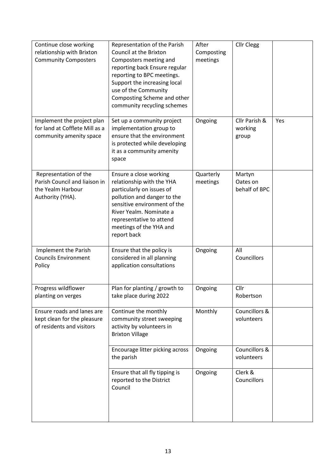| Continue close working                                    | Representation of the Parish                                | After                  | <b>Cllr Clegg</b>           |     |
|-----------------------------------------------------------|-------------------------------------------------------------|------------------------|-----------------------------|-----|
| relationship with Brixton<br><b>Community Composters</b>  | Council at the Brixton<br>Composters meeting and            | Composting<br>meetings |                             |     |
|                                                           | reporting back Ensure regular                               |                        |                             |     |
|                                                           | reporting to BPC meetings.                                  |                        |                             |     |
|                                                           | Support the increasing local                                |                        |                             |     |
|                                                           | use of the Community<br>Composting Scheme and other         |                        |                             |     |
|                                                           | community recycling schemes                                 |                        |                             |     |
|                                                           |                                                             |                        |                             |     |
| Implement the project plan                                | Set up a community project                                  | Ongoing                | Cllr Parish &               | Yes |
| for land at Cofflete Mill as a<br>community amenity space | implementation group to<br>ensure that the environment      |                        | working<br>group            |     |
|                                                           | is protected while developing                               |                        |                             |     |
|                                                           | it as a community amenity                                   |                        |                             |     |
|                                                           | space                                                       |                        |                             |     |
| Representation of the                                     | Ensure a close working                                      | Quarterly              | Martyn                      |     |
| Parish Council and liaison in                             | relationship with the YHA                                   | meetings               | Oates on                    |     |
| the Yealm Harbour                                         | particularly on issues of                                   |                        | behalf of BPC               |     |
| Authority (YHA).                                          | pollution and danger to the<br>sensitive environment of the |                        |                             |     |
|                                                           | River Yealm. Nominate a                                     |                        |                             |     |
|                                                           | representative to attend                                    |                        |                             |     |
|                                                           | meetings of the YHA and                                     |                        |                             |     |
|                                                           | report back                                                 |                        |                             |     |
| Implement the Parish                                      | Ensure that the policy is                                   | Ongoing                | All                         |     |
| <b>Councils Environment</b><br>Policy                     | considered in all planning<br>application consultations     |                        | Councillors                 |     |
|                                                           |                                                             |                        |                             |     |
|                                                           |                                                             |                        |                             |     |
| Progress wildflower<br>planting on verges                 | Plan for planting / growth to<br>take place during 2022     | Ongoing                | Cllr<br>Robertson           |     |
|                                                           |                                                             |                        |                             |     |
| Ensure roads and lanes are                                | Continue the monthly                                        | Monthly                | Councillors &<br>volunteers |     |
| kept clean for the pleasure<br>of residents and visitors  | community street sweeping<br>activity by volunteers in      |                        |                             |     |
|                                                           | <b>Brixton Village</b>                                      |                        |                             |     |
|                                                           |                                                             |                        |                             |     |
|                                                           | Encourage litter picking across<br>the parish               | Ongoing                | Councillors &<br>volunteers |     |
|                                                           |                                                             |                        |                             |     |
|                                                           | Ensure that all fly tipping is                              | Ongoing                | Clerk &                     |     |
|                                                           | reported to the District<br>Council                         |                        | Councillors                 |     |
|                                                           |                                                             |                        |                             |     |
|                                                           |                                                             |                        |                             |     |
|                                                           |                                                             |                        |                             |     |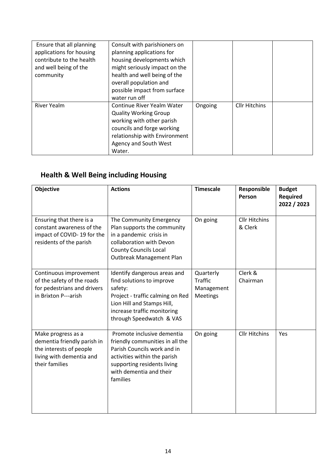| Ensure that all planning<br>applications for housing<br>contribute to the health<br>and well being of the<br>community | Consult with parishioners on<br>planning applications for<br>housing developments which<br>might seriously impact on the<br>health and well being of the<br>overall population and<br>possible impact from surface<br>water run off |         |                      |  |
|------------------------------------------------------------------------------------------------------------------------|-------------------------------------------------------------------------------------------------------------------------------------------------------------------------------------------------------------------------------------|---------|----------------------|--|
| <b>River Yealm</b>                                                                                                     | Continue River Yealm Water<br><b>Quality Working Group</b><br>working with other parish<br>councils and forge working<br>relationship with Environment<br>Agency and South West<br>Water.                                           | Ongoing | <b>Cllr Hitchins</b> |  |

# **Health & Well Being including Housing**

| <b>Objective</b>                                                                                                           | <b>Actions</b>                                                                                                                                                                                     | <b>Timescale</b>                                      | Responsible<br>Person           | <b>Budget</b><br>Required<br>2022 / 2023 |
|----------------------------------------------------------------------------------------------------------------------------|----------------------------------------------------------------------------------------------------------------------------------------------------------------------------------------------------|-------------------------------------------------------|---------------------------------|------------------------------------------|
| Ensuring that there is a<br>constant awareness of the<br>impact of COVID-19 for the<br>residents of the parish             | The Community Emergency<br>Plan supports the community<br>in a pandemic crisis in<br>collaboration with Devon<br><b>County Councils Local</b><br>Outbreak Management Plan                          | On going                                              | <b>Cllr Hitchins</b><br>& Clerk |                                          |
| Continuous improvement<br>of the safety of the roads<br>for pedestrians and drivers<br>in Brixton P---arish                | Identify dangerous areas and<br>find solutions to improve<br>safety:<br>Project - traffic calming on Red<br>Lion Hill and Stamps Hill,<br>increase traffic monitoring<br>through Speedwatch & VAS  | Quarterly<br><b>Traffic</b><br>Management<br>Meetings | Clerk &<br>Chairman             |                                          |
| Make progress as a<br>dementia friendly parish in<br>the interests of people<br>living with dementia and<br>their families | Promote inclusive dementia<br>friendly communities in all the<br>Parish Councils work and in<br>activities within the parish<br>supporting residents living<br>with dementia and their<br>families | On going                                              | <b>Cllr Hitchins</b>            | Yes                                      |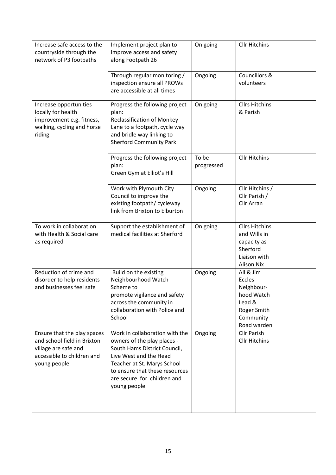| Increase safe access to the<br>countryside through the<br>network of P3 footpaths                                                | Implement project plan to<br>improve access and safety<br>along Footpath 26                                                                                                                                                             | On going            | <b>Cllr Hitchins</b>                                                                                  |
|----------------------------------------------------------------------------------------------------------------------------------|-----------------------------------------------------------------------------------------------------------------------------------------------------------------------------------------------------------------------------------------|---------------------|-------------------------------------------------------------------------------------------------------|
|                                                                                                                                  | Through regular monitoring /<br>inspection ensure all PROWs<br>are accessible at all times                                                                                                                                              | Ongoing             | Councillors &<br>volunteers                                                                           |
| Increase opportunities<br>locally for health<br>improvement e.g. fitness,<br>walking, cycling and horse<br>riding                | Progress the following project<br>plan:<br><b>Reclassification of Monkey</b><br>Lane to a footpath, cycle way<br>and bridle way linking to<br><b>Sherford Community Park</b>                                                            | On going            | <b>Cllrs Hitchins</b><br>& Parish                                                                     |
|                                                                                                                                  | Progress the following project<br>plan:<br>Green Gym at Elliot's Hill                                                                                                                                                                   | To be<br>progressed | <b>Cllr Hitchins</b>                                                                                  |
|                                                                                                                                  | Work with Plymouth City<br>Council to improve the<br>existing footpath/ cycleway<br>link from Brixton to Elburton                                                                                                                       | Ongoing             | Cllr Hitchins /<br>Cllr Parish /<br>Cllr Arran                                                        |
| To work in collaboration<br>with Health & Social care<br>as required                                                             | Support the establishment of<br>medical facilities at Sherford                                                                                                                                                                          | On going            | <b>Cllrs Hitchins</b><br>and Wills in<br>capacity as<br>Sherford<br>Liaison with<br><b>Alison Nix</b> |
| Reduction of crime and<br>disorder to help residents<br>and businesses feel safe                                                 | Build on the existing<br>Neighbourhood Watch<br>Scheme to<br>promote vigilance and safety<br>across the community in<br>collaboration with Police and<br>School                                                                         | Ongoing             | All & Jim<br>Eccles<br>Neighbour-<br>hood Watch<br>Lead &<br>Roger Smith<br>Community<br>Road warden  |
| Ensure that the play spaces<br>and school field in Brixton<br>village are safe and<br>accessible to children and<br>young people | Work in collaboration with the<br>owners of the play places -<br>South Hams District Council,<br>Live West and the Head<br>Teacher at St. Marys School<br>to ensure that these resources<br>are secure for children and<br>young people | Ongoing             | <b>Cllr Parish</b><br><b>Cllr Hitchins</b>                                                            |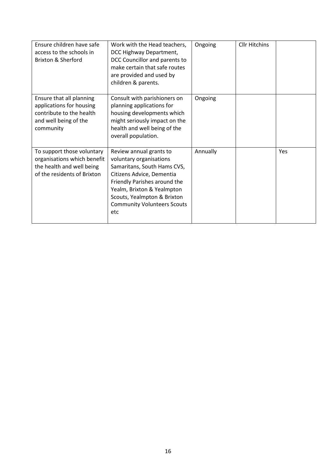| Ensure children have safe<br>access to the schools in<br><b>Brixton &amp; Sherford</b>                                 | Work with the Head teachers,<br>DCC Highway Department,<br>DCC Councillor and parents to<br>make certain that safe routes<br>are provided and used by<br>children & parents.                                                                             | Ongoing  | <b>Cllr Hitchins</b> |     |
|------------------------------------------------------------------------------------------------------------------------|----------------------------------------------------------------------------------------------------------------------------------------------------------------------------------------------------------------------------------------------------------|----------|----------------------|-----|
| Ensure that all planning<br>applications for housing<br>contribute to the health<br>and well being of the<br>community | Consult with parishioners on<br>planning applications for<br>housing developments which<br>might seriously impact on the<br>health and well being of the<br>overall population.                                                                          | Ongoing  |                      |     |
| To support those voluntary<br>organisations which benefit<br>the health and well being<br>of the residents of Brixton  | Review annual grants to<br>voluntary organisations<br>Samaritans, South Hams CVS,<br>Citizens Advice, Dementia<br>Friendly Parishes around the<br>Yealm, Brixton & Yealmpton<br>Scouts, Yealmpton & Brixton<br><b>Community Volunteers Scouts</b><br>etc | Annually |                      | Yes |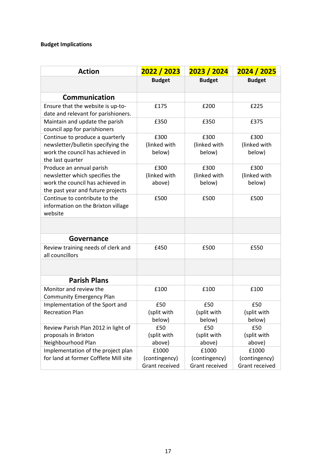#### **Budget Implications**

| <b>Action</b>                                                                  | 2022 / 2023           | 2023 / 2024    | 2024 / 2025    |  |  |
|--------------------------------------------------------------------------------|-----------------------|----------------|----------------|--|--|
|                                                                                | <b>Budget</b>         | <b>Budget</b>  | <b>Budget</b>  |  |  |
| Communication                                                                  |                       |                |                |  |  |
| Ensure that the website is up-to-<br>date and relevant for parishioners.       | £175                  | £200           | £225           |  |  |
| Maintain and update the parish<br>council app for parishioners                 | £350                  | £350           | £375           |  |  |
| Continue to produce a quarterly                                                | £300                  | £300           | £300           |  |  |
| newsletter/bulletin specifying the                                             | (linked with          | (linked with   | (linked with   |  |  |
| work the council has achieved in<br>the last quarter                           | below)                | below)         | below)         |  |  |
| Produce an annual parish                                                       | £300                  | £300           | £300           |  |  |
| newsletter which specifies the                                                 | (linked with          | (linked with   | (linked with   |  |  |
| work the council has achieved in<br>the past year and future projects          | above)                | below)         | below)         |  |  |
| Continue to contribute to the<br>information on the Brixton village<br>website | £500                  | £500           | £500           |  |  |
|                                                                                |                       |                |                |  |  |
| Governance                                                                     |                       |                |                |  |  |
| Review training needs of clerk and<br>all councillors                          | £450                  | £500           | £550           |  |  |
|                                                                                |                       |                |                |  |  |
| <b>Parish Plans</b>                                                            |                       |                |                |  |  |
| Monitor and review the<br><b>Community Emergency Plan</b>                      | £100                  | £100           | £100           |  |  |
| Implementation of the Sport and                                                | £50                   | £50            | £50            |  |  |
| <b>Recreation Plan</b>                                                         | (split with           | (split with    | (split with    |  |  |
|                                                                                | below)                | below)         | below)         |  |  |
| Review Parish Plan 2012 in light of                                            | £50                   | £50            | £50            |  |  |
| proposals in Brixton                                                           | (split with           | (split with    | (split with    |  |  |
| Neighbourhood Plan                                                             | above)                | above)         | above)         |  |  |
| Implementation of the project plan                                             | £1000                 | £1000          | £1000          |  |  |
| for land at former Cofflete Mill site                                          | (contingency)         | (contingency)  | (contingency)  |  |  |
|                                                                                | <b>Grant received</b> | Grant received | Grant received |  |  |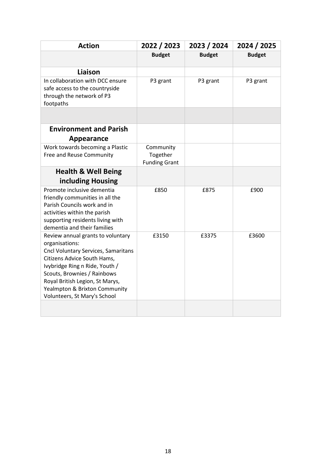| <b>Action</b>                                                                                                                                                                                                                                                                                  | 2022 / 2023                                   | 2023 / 2024   | 2024 / 2025   |
|------------------------------------------------------------------------------------------------------------------------------------------------------------------------------------------------------------------------------------------------------------------------------------------------|-----------------------------------------------|---------------|---------------|
|                                                                                                                                                                                                                                                                                                | <b>Budget</b>                                 | <b>Budget</b> | <b>Budget</b> |
| Liaison                                                                                                                                                                                                                                                                                        |                                               |               |               |
| In collaboration with DCC ensure<br>safe access to the countryside<br>through the network of P3<br>footpaths                                                                                                                                                                                   | P3 grant                                      | P3 grant      | P3 grant      |
|                                                                                                                                                                                                                                                                                                |                                               |               |               |
| <b>Environment and Parish</b>                                                                                                                                                                                                                                                                  |                                               |               |               |
| Appearance                                                                                                                                                                                                                                                                                     |                                               |               |               |
| Work towards becoming a Plastic<br>Free and Reuse Community                                                                                                                                                                                                                                    | Community<br>Together<br><b>Funding Grant</b> |               |               |
| <b>Health &amp; Well Being</b>                                                                                                                                                                                                                                                                 |                                               |               |               |
| including Housing                                                                                                                                                                                                                                                                              |                                               |               |               |
| Promote inclusive dementia<br>friendly communities in all the<br>Parish Councils work and in<br>activities within the parish<br>supporting residents living with<br>dementia and their families                                                                                                | £850                                          | £875          | £900          |
| Review annual grants to voluntary<br>organisations:<br>Cncl Voluntary Services, Samaritans<br>Citizens Advice South Hams,<br>Ivybridge Ring n Ride, Youth /<br>Scouts, Brownies / Rainbows<br>Royal British Legion, St Marys,<br>Yealmpton & Brixton Community<br>Volunteers, St Mary's School | £3150                                         | £3375         | £3600         |
|                                                                                                                                                                                                                                                                                                |                                               |               |               |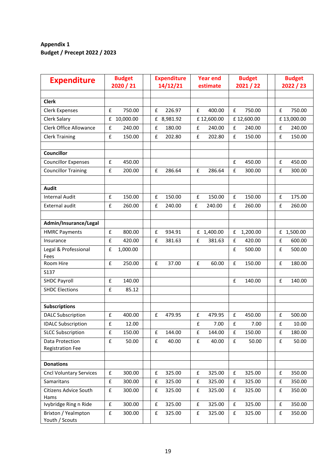#### **Appendix 1 Budget / Precept 2022 / 2023**

| <b>Expenditure</b>                    | <b>Budget</b><br>2020 / 21   | <b>Expenditure</b><br>14/12/21 | <b>Year end</b><br>estimate | <b>Budget</b><br>2021 / 22 | <b>Budget</b><br>2022 / 23 |  |
|---------------------------------------|------------------------------|--------------------------------|-----------------------------|----------------------------|----------------------------|--|
|                                       |                              |                                |                             |                            |                            |  |
| Clerk                                 |                              |                                |                             |                            |                            |  |
| <b>Clerk Expenses</b>                 | £<br>750.00                  | £<br>226.97                    | £<br>400.00                 | £<br>750.00                | £<br>750.00                |  |
| Clerk Salary                          | £<br>10,000.00               | £ 8,981.92                     | £12,600.00                  | £12,600.00                 | £13,000.00                 |  |
| <b>Clerk Office Allowance</b>         | £<br>240.00                  | £<br>180.00                    | £<br>240.00                 | £<br>240.00                | £<br>240.00                |  |
| <b>Clerk Training</b>                 | £<br>150.00                  | 202.80<br>£                    | £<br>202.80                 | £<br>150.00                | £<br>150.00                |  |
|                                       |                              |                                |                             |                            |                            |  |
| <b>Councillor</b>                     |                              |                                |                             |                            |                            |  |
| <b>Councillor Expenses</b>            | £<br>450.00                  |                                |                             | £<br>450.00                | £<br>450.00                |  |
| <b>Councillor Training</b>            | £<br>200.00                  | £<br>286.64                    | £<br>286.64                 | £<br>300.00                | £<br>300.00                |  |
|                                       |                              |                                |                             |                            |                            |  |
| Audit                                 |                              |                                |                             |                            |                            |  |
| <b>Internal Audit</b>                 | $\pmb{\mathsf{f}}$<br>150.00 | 150.00<br>£                    | £<br>150.00                 | £<br>150.00                | 175.00<br>£                |  |
| <b>External audit</b>                 | £<br>260.00                  | £<br>240.00                    | £<br>240.00                 | £<br>260.00                | £<br>260.00                |  |
|                                       |                              |                                |                             |                            |                            |  |
| Admin/Insurance/Legal                 |                              |                                |                             |                            |                            |  |
| <b>HMRC Payments</b>                  | £<br>800.00                  | £<br>934.91                    | £ 1,400.00                  | £<br>1,200.00              | £ 1,500.00                 |  |
| Insurance                             | £<br>420.00                  | £<br>381.63                    | £<br>381.63                 | £<br>420.00                | £<br>600.00                |  |
| Legal & Professional                  | £<br>1,000.00                |                                |                             | £<br>500.00                | £<br>500.00                |  |
| Fees                                  |                              |                                |                             |                            |                            |  |
| Room Hire                             | £<br>250.00                  | £<br>37.00                     | £<br>60.00                  | £<br>150.00                | £<br>180.00                |  |
| S137                                  |                              |                                |                             |                            |                            |  |
| <b>SHDC Payroll</b>                   | £<br>140.00                  |                                |                             | £<br>140.00                | £<br>140.00                |  |
| <b>SHDC Elections</b>                 | £<br>85.12                   |                                |                             |                            |                            |  |
| <b>Subscriptions</b>                  |                              |                                |                             |                            |                            |  |
| <b>DALC Subscription</b>              | £<br>400.00                  | £<br>479.95                    | 479.95<br>£                 | £<br>450.00                | £<br>500.00                |  |
| <b>IDALC Subscription</b>             | £<br>12.00                   |                                | £<br>7.00                   | £<br>7.00                  | £<br>10.00                 |  |
| <b>SLCC Subscription</b>              | £<br>150.00                  | 144.00<br>£                    | £<br>144.00                 | £<br>150.00                | 180.00<br>£                |  |
| Data Protection                       | £<br>50.00                   | $\pmb{\mathsf{f}}$<br>40.00    | £<br>40.00                  | £<br>50.00                 | 50.00<br>£                 |  |
| <b>Registration Fee</b>               |                              |                                |                             |                            |                            |  |
|                                       |                              |                                |                             |                            |                            |  |
| <b>Donations</b>                      |                              |                                |                             |                            |                            |  |
| <b>Cncl Voluntary Services</b>        | $\pmb{\mathsf{f}}$<br>300.00 | 325.00<br>£                    | 325.00<br>£                 | 325.00<br>£                | 350.00<br>${\bf f}$        |  |
| Samaritans                            | £<br>300.00                  | £<br>325.00                    | £<br>325.00                 | £<br>325.00                | £<br>350.00                |  |
| Citizens Advice South                 | £<br>300.00                  | 325.00<br>£                    | £<br>325.00                 | £<br>325.00                | ${\bf f}$<br>350.00        |  |
| Hams                                  |                              |                                |                             |                            |                            |  |
| Ivybridge Ring n Ride                 | £<br>300.00                  | ${\bf f}$<br>325.00            | £<br>325.00                 | £<br>325.00                | ${\bf f}$<br>350.00        |  |
| Brixton / Yealmpton<br>Youth / Scouts | £<br>300.00                  | 325.00<br>£                    | £<br>325.00                 | £<br>325.00                | £<br>350.00                |  |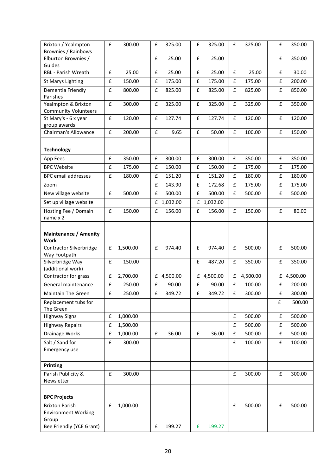| Brixton / Yealmpton                            | £                  | 300.00   | £ | 325.00     | £                  | 325.00     | £                  | 325.00   | £                  | 350.00     |
|------------------------------------------------|--------------------|----------|---|------------|--------------------|------------|--------------------|----------|--------------------|------------|
| Brownies / Rainbows                            |                    |          |   |            |                    |            |                    |          |                    |            |
| Elburton Brownies /<br>Guides                  |                    |          | £ | 25.00      | £                  | 25.00      |                    |          | £                  | 350.00     |
| RBL - Parish Wreath                            | £                  | 25.00    | £ | 25.00      | £                  | 25.00      | £                  | 25.00    | £                  | 30.00      |
| <b>St Marys Lighting</b>                       | £                  | 150.00   | £ | 175.00     | £                  | 175.00     | £                  | 175.00   | £                  | 200.00     |
| Dementia Friendly<br>Parishes                  | $\pmb{\mathsf{f}}$ | 800.00   | £ | 825.00     | $\pmb{\mathsf{f}}$ | 825.00     | £                  | 825.00   | £                  | 850.00     |
| Yealmpton & Brixton                            | £                  | 300.00   | £ | 325.00     | $\pmb{\mathsf{f}}$ | 325.00     | $\pmb{\mathsf{f}}$ | 325.00   | £                  | 350.00     |
| <b>Community Volunteers</b>                    |                    |          |   |            |                    |            |                    |          |                    |            |
| St Mary's - 6 x year                           | £                  | 120.00   | £ | 127.74     | £                  | 127.74     | £                  | 120.00   | £                  | 120.00     |
| group awards                                   |                    |          |   |            |                    |            |                    |          |                    |            |
| Chairman's Allowance                           | $\mathbf f$        | 200.00   | £ | 9.65       | £                  | 50.00      | £                  | 100.00   | £                  | 150.00     |
|                                                |                    |          |   |            |                    |            |                    |          |                    |            |
| <b>Technology</b>                              |                    |          |   |            |                    |            |                    |          |                    |            |
| App Fees                                       | £                  | 350.00   | £ | 300.00     | $\pmb{\mathsf{f}}$ | 300.00     | £                  | 350.00   | £                  | 350.00     |
| <b>BPC Website</b>                             | £                  | 175.00   | £ | 150.00     | £                  | 150.00     | £                  | 175.00   | £                  | 175.00     |
| <b>BPC</b> email addresses                     | £                  | 180.00   | £ | 151.20     | $\pmb{\mathsf{f}}$ | 151.20     | £                  | 180.00   | £                  | 180.00     |
| Zoom                                           |                    |          | £ | 143.90     | $\pmb{\mathsf{f}}$ | 172.68     | £                  | 175.00   | £                  | 175.00     |
| New village website                            | $\pmb{\mathsf{f}}$ | 500.00   | £ | 500.00     | £                  | 500.00     | £                  | 500.00   | £                  | 500.00     |
| Set up village website                         |                    |          |   | £ 1,032.00 |                    | £ 1,032.00 |                    |          |                    |            |
| Hosting Fee / Domain                           | £                  | 150.00   | £ | 156.00     | £                  | 156.00     | £                  | 150.00   | £                  | 80.00      |
| name x 2                                       |                    |          |   |            |                    |            |                    |          |                    |            |
|                                                |                    |          |   |            |                    |            |                    |          |                    |            |
| <b>Maintenance / Amenity</b>                   |                    |          |   |            |                    |            |                    |          |                    |            |
| <b>Work</b>                                    |                    |          |   |            |                    |            |                    |          |                    |            |
| <b>Contractor Silverbridge</b><br>Way Footpath | £                  | 1,500.00 | £ | 974.40     | £                  | 974.40     | £                  | 500.00   | £                  | 500.00     |
| Silverbridge Way                               | $\pmb{\mathsf{f}}$ | 150.00   |   |            | £                  | 487.20     | £                  | 350.00   | £                  | 350.00     |
| (additional work)                              |                    |          |   |            |                    |            |                    |          |                    |            |
| Contractor for grass                           | $\pmb{\mathsf{f}}$ | 2,700.00 |   | £ 4,500.00 |                    | £ 4,500.00 | £                  | 4,500.00 |                    | £ 4,500.00 |
| General maintenance                            | $\pmb{\mathsf{f}}$ | 250.00   | £ | 90.00      | $\pmb{\mathsf{f}}$ | 90.00      | £                  | 100.00   | £                  | 200.00     |
| Maintain The Green                             | £                  | 250.00   | £ | 349.72     | £                  | 349.72     | £                  | 300.00   | £                  | 300.00     |
| Replacement tubs for                           |                    |          |   |            |                    |            |                    |          | £                  | 500.00     |
| The Green                                      |                    |          |   |            |                    |            |                    |          |                    |            |
| <b>Highway Signs</b>                           | £                  | 1,000.00 |   |            |                    |            | £                  | 500.00   | £                  | 500.00     |
| <b>Highway Repairs</b>                         | £                  | 1,500.00 |   |            |                    |            | $\pmb{\mathsf{f}}$ | 500.00   | £                  | 500.00     |
| Drainage Works                                 | $\pmb{\mathsf{f}}$ | 1,000.00 | £ | 36.00      | $\pmb{\mathsf{f}}$ | 36.00      | $\pmb{\mathsf{f}}$ | 500.00   | $\pmb{\mathsf{f}}$ | 500.00     |
| Salt / Sand for                                | £                  | 300.00   |   |            |                    |            | £                  | 100.00   | £                  | 100.00     |
| Emergency use                                  |                    |          |   |            |                    |            |                    |          |                    |            |
|                                                |                    |          |   |            |                    |            |                    |          |                    |            |
| Printing                                       |                    |          |   |            |                    |            |                    |          |                    |            |
| Parish Publicity &                             | £                  | 300.00   |   |            |                    |            | £                  | 300.00   | £                  | 300.00     |
| Newsletter                                     |                    |          |   |            |                    |            |                    |          |                    |            |
|                                                |                    |          |   |            |                    |            |                    |          |                    |            |
| <b>BPC Projects</b>                            |                    |          |   |            |                    |            |                    |          |                    |            |
| <b>Brixton Parish</b>                          | £                  | 1,000.00 |   |            |                    |            | £                  | 500.00   | £                  | 500.00     |
| <b>Environment Working</b><br>Group            |                    |          |   |            |                    |            |                    |          |                    |            |
| Bee Friendly (YCE Grant)                       |                    |          | £ | 199.27     | £                  | 199.27     |                    |          |                    |            |
|                                                |                    |          |   |            |                    |            |                    |          |                    |            |